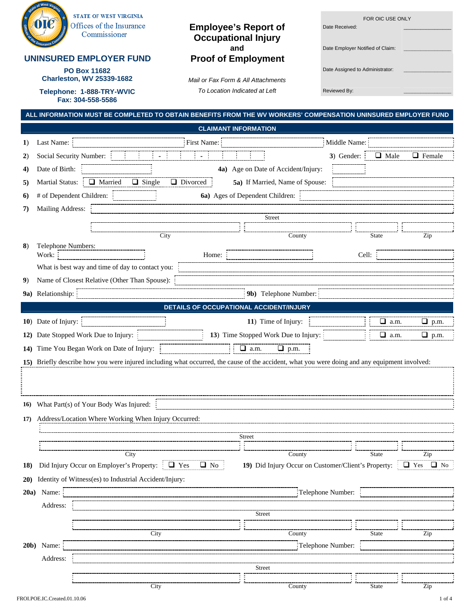| g | <b>STATE OF WEST VIRGINIA</b>            |
|---|------------------------------------------|
|   | Offices of the Insurance<br>Commissioner |

## **UNINSURED EMPLOYER FUND Proof of Employment**

**PO Box 11682** Date Assigned to Administrator: Date Administrator: Definition of Administrator: Charleston, WV 25339-1682

**Fax: 304-558-5586** 

## **Employee's Report of Case Received: Occupational Injury**

**Mail or Fax Form & All Attachments Telephone: 1-888-TRY-WVIC** *To Location Indicated at Left* Reviewed By: Reviewed By:  $R$ 

| e's Report of                            | FOR OIC USE ONLY<br>Date Received: |  |
|------------------------------------------|------------------------------------|--|
| ional Injury<br>and<br><b>Employment</b> | Date Employer Notified of Claim:   |  |
|                                          | Date Assigned to Administrator:    |  |
| m & All Attachments                      |                                    |  |
| Indicated at Left                        | Reviewed By:                       |  |

|             | ALL INFORMATION MUST BE COMPLETED TO OBTAIN BENEFITS FROM THE WV WORKERS' COMPENSATION UNINSURED EMPLOYER FUND                                      |  |  |  |  |  |
|-------------|-----------------------------------------------------------------------------------------------------------------------------------------------------|--|--|--|--|--|
|             | <b>CLAIMANT INFORMATION</b>                                                                                                                         |  |  |  |  |  |
| 1)          | First Name:<br>Last Name:<br>Middle Name:                                                                                                           |  |  |  |  |  |
| 2)          | $\Box$ Male<br>$\Box$ Female<br>Social Security Number:<br>$3)$ Gender: $\frac{1}{3}$<br>$\sim$                                                     |  |  |  |  |  |
| 4)          | Date of Birth:<br>4a) Age on Date of Accident/Injury:                                                                                               |  |  |  |  |  |
| 5)          | <b>Martial Status:</b><br>□ Married<br>Divorced<br>$\Box$ Single<br>5a) If Married, Name of Spouse:                                                 |  |  |  |  |  |
| 6)          | # of Dependent Children:<br>6a) Ages of Dependent Children:                                                                                         |  |  |  |  |  |
| 7)          | Mailing Address:                                                                                                                                    |  |  |  |  |  |
|             | <b>Street</b>                                                                                                                                       |  |  |  |  |  |
|             | City<br>County<br>Zip<br><b>State</b>                                                                                                               |  |  |  |  |  |
| 8)          | Telephone Numbers:                                                                                                                                  |  |  |  |  |  |
|             | Work:<br>Home:<br>Cell:<br>What is best way and time of day to contact you:                                                                         |  |  |  |  |  |
| 9)          | Name of Closest Relative (Other Than Spouse):                                                                                                       |  |  |  |  |  |
|             | 9a) Relationship:<br>9b) Telephone Number:                                                                                                          |  |  |  |  |  |
|             | DETAILS OF OCCUPATIONAL ACCIDENT/INJURY                                                                                                             |  |  |  |  |  |
|             |                                                                                                                                                     |  |  |  |  |  |
|             | 10) Date of Injury:<br>11) Time of Injury:<br>$\Box$ a.m.<br>$\Box$ p.m.                                                                            |  |  |  |  |  |
|             | 13) Time Stopped Work Due to Injury:<br>12) Date Stopped Work Due to Injury:<br>$\Box$ a.m.<br>$\Box$ p.m.                                          |  |  |  |  |  |
|             | $\Box$ a.m.<br>$\rule{1em}{0.15mm}$ p.m.<br>14) Time You Began Work on Date of Injury:                                                              |  |  |  |  |  |
|             | 15) Briefly describe how you were injured including what occurred, the cause of the accident, what you were doing and any equipment involved:       |  |  |  |  |  |
|             |                                                                                                                                                     |  |  |  |  |  |
|             |                                                                                                                                                     |  |  |  |  |  |
| 16)         | What Part(s) of Your Body Was Injured:                                                                                                              |  |  |  |  |  |
| 17)         | Address/Location Where Working When Injury Occurred:                                                                                                |  |  |  |  |  |
|             | <b>Street</b>                                                                                                                                       |  |  |  |  |  |
|             | <b>State</b>                                                                                                                                        |  |  |  |  |  |
| <b>18</b> ) | Did Injury Occur on Employer's Property: $\Box$ Yes<br>$\Box$ No $\Box$<br>19) Did Injury Occur on Customer/Client's Property: $\Box$ Yes $\Box$ No |  |  |  |  |  |
|             | 20) Identity of Witness(es) to Industrial Accident/Injury:                                                                                          |  |  |  |  |  |
| 20a)        | Telephone Number:<br>Name:                                                                                                                          |  |  |  |  |  |
|             | Address:                                                                                                                                            |  |  |  |  |  |
|             | <b>Street</b>                                                                                                                                       |  |  |  |  |  |
|             | City<br>County<br><b>State</b><br>Zip                                                                                                               |  |  |  |  |  |
|             | $20b)$ Name:<br>:Telephone Number:                                                                                                                  |  |  |  |  |  |
|             | Address:                                                                                                                                            |  |  |  |  |  |
|             | Street                                                                                                                                              |  |  |  |  |  |
|             |                                                                                                                                                     |  |  |  |  |  |

City County County State Zip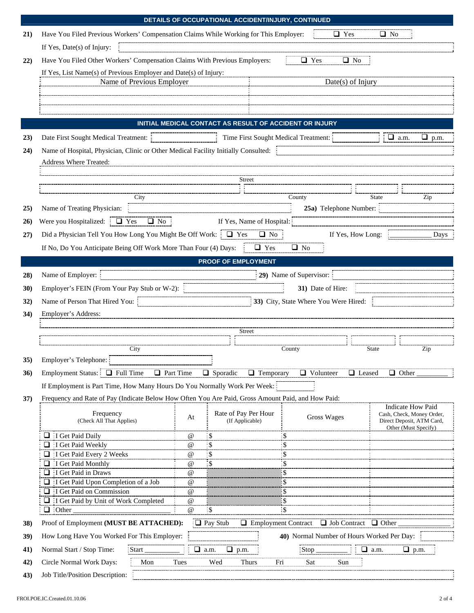|             | DETAILS OF OCCUPATIONAL ACCIDENT/INJURY, CONTINUED                                                                                                                                               |
|-------------|--------------------------------------------------------------------------------------------------------------------------------------------------------------------------------------------------|
| 21)         | Have You Filed Previous Workers' Compensation Claims While Working for This Employer:<br>$\Box$ Yes<br>$\Box$ No                                                                                 |
|             | If Yes, Date(s) of Injury:                                                                                                                                                                       |
| 22)         | Have You Filed Other Workers' Compensation Claims With Previous Employers:<br>$\Box$ Yes<br>$\Box$ No                                                                                            |
|             | If Yes, List Name(s) of Previous Employer and Date(s) of Injury:                                                                                                                                 |
|             | Name of Previous Employer<br>Date(s) of Injury                                                                                                                                                   |
|             |                                                                                                                                                                                                  |
|             |                                                                                                                                                                                                  |
|             |                                                                                                                                                                                                  |
|             | INITIAL MEDICAL CONTACT AS RESULT OF ACCIDENT OR INJURY                                                                                                                                          |
| 23)         | Date First Sought Medical Treatment:<br>Time First Sought Medical Treatment:<br>$\frac{1}{2}$ $\Box$ a.m.<br>$\rule{0pt}{0pt}$ p.m.                                                              |
| 24)         | Name of Hospital, Physician, Clinic or Other Medical Facility Initially Consulted: :                                                                                                             |
|             | Address Where Treated:                                                                                                                                                                           |
|             |                                                                                                                                                                                                  |
|             | Street                                                                                                                                                                                           |
|             | City<br>County<br>Zip<br><b>State</b>                                                                                                                                                            |
| 25)         | Name of Treating Physician:<br>25a) Telephone Number:                                                                                                                                            |
| 26)         | Were you Hospitalized: $\Box$ Yes<br>$\Box$ No $\vdots$<br>If Yes, Name of Hospital:                                                                                                             |
|             |                                                                                                                                                                                                  |
| 27)         | Did a Physician Tell You How Long You Might Be Off Work: $\frac{1}{2}$ Yes<br>$\Box$ No $\vdots$<br>If Yes, How Long:<br>Days                                                                    |
|             | If No, Do You Anticipate Being Off Work More Than Four (4) Days:<br>$\Box$ Yes<br>$\Box$ No                                                                                                      |
|             | <b>PROOF OF EMPLOYMENT</b>                                                                                                                                                                       |
| 28)         | 29) Name of Supervisor:<br>Name of Employer:                                                                                                                                                     |
| <b>30</b> ) | Employer's FEIN (From Your Pay Stub or W-2):<br>31) Date of Hire:                                                                                                                                |
| 32)         | Name of Person That Hired You:<br>33) City, State Where You Were Hired:<br><u> 1980 - Johann Barbara, martin amerikan basal dan berasal dalam basal dalam basal dalam basal dalam basal dala</u> |
| 34)         | Employer's Address:                                                                                                                                                                              |
|             |                                                                                                                                                                                                  |
|             | Street                                                                                                                                                                                           |
|             | <b>State</b><br>City<br>County<br>Zip                                                                                                                                                            |
| 35)         | Employer's Telephone:                                                                                                                                                                            |
| 36)         | Employment Status: $\Box$ Full Time<br><b>Q</b> Part Time<br>$\Box$ Temporary<br>$\Box$ Volunteer<br>$\Box$ Leased<br>$\Box$ Sporadic<br>$\Box$ Other                                            |
|             | If Employment is Part Time, How Many Hours Do You Normally Work Per Week:                                                                                                                        |
| 37)         | Frequency and Rate of Pay (Indicate Below How Often You Are Paid, Gross Amount Paid, and How Paid:                                                                                               |
|             | <b>Indicate How Paid</b>                                                                                                                                                                         |
|             | Frequency<br>Rate of Pay Per Hour<br>Cash, Check, Money Order,<br>Gross Wages<br>At<br>(Check All That Applies)<br>(If Applicable)<br>Direct Deposit, ATM Card,                                  |
|             | Other (Must Specify)<br>$\Box$ I Get Paid Daily<br>- \$<br>$^{\copyright}$<br>\$                                                                                                                 |
|             | $\frac{1}{2}$ \$<br>$\Box$ I Get Paid Weekly<br>\$<br>$\omega$                                                                                                                                   |
|             | $\frac{1}{2}$ \$<br>$\Box$ I Get Paid Every 2 Weeks<br>\$<br>$\omega$                                                                                                                            |
|             | $\frac{1}{2}$<br>$\Box$ I Get Paid Monthly<br>\$<br>$\omega$                                                                                                                                     |
|             | $\Box$ : I Get Paid in Draws<br>$^{\omega}$<br>\$<br>$\Box$ : I Get Paid Upon Completion of a Job<br>$^{\omega}$<br>S                                                                            |
|             | $\Box$ : I Get Paid on Commission<br>$^{\omega}$<br>S                                                                                                                                            |
|             | $\Box$ I Get Paid by Unit of Work Completed<br>$^{\copyright}$<br>S                                                                                                                              |
|             | $^\text{\textregistered}$<br>\$<br>\$<br>$\cdot$ Other<br>ப                                                                                                                                      |
| 38)         | Proof of Employment (MUST BE ATTACHED):<br>□ Job Contract<br>$\Box$ Pay Stub<br>$\Box$ Employment Contract<br>$\Box$ Other                                                                       |
| 39)         | How Long Have You Worked For This Employer:<br>40) Normal Number of Hours Worked Per Day:                                                                                                        |
| 41)         | Normal Start / Stop Time:<br>Start<br>$\Box$ a.m.<br>$\Box$ a.m.<br>$\Box$ p.m.<br>u.<br>Stop<br>p.m.                                                                                            |
| 42)         | Circle Normal Work Days:<br>Mon<br>Thurs<br>Tues<br>Wed<br>Fri<br>Sat<br>Sun                                                                                                                     |
| 43)         | Job Title/Position Description:                                                                                                                                                                  |
|             |                                                                                                                                                                                                  |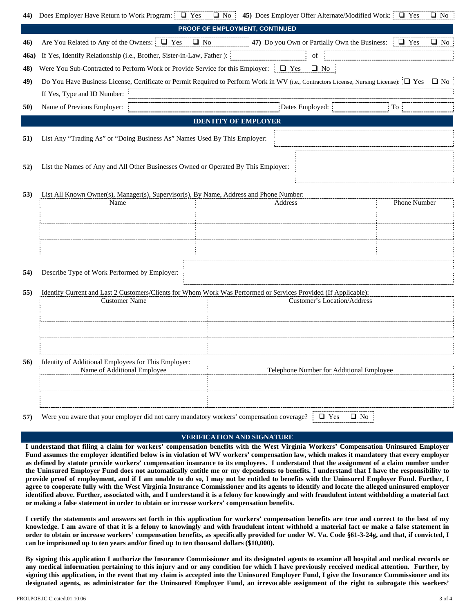| 44). | Does Employer Have Return to Work Program: $\Box$ Yes                                                                                   | 45) Does Employer Offer Alternate/Modified Work: $\Box$ Yes<br>$\Box$ No: | $\Box$ No    |
|------|-----------------------------------------------------------------------------------------------------------------------------------------|---------------------------------------------------------------------------|--------------|
|      |                                                                                                                                         | PROOF OF EMPLOYMENT, CONTINUED                                            |              |
| 46)  | Are You Related to Any of the Owners: $\Box$ Yes $\Box$ No                                                                              | <b>47</b> ) Do you Own or Partially Own the Business: $\Box$ Yes          | $\Box$ No    |
| 46a) | If Yes, Identify Relationship (i.e., Brother, Sister-in-Law, Father ):                                                                  | $% \overline{a}$ of                                                       |              |
| 48)  | Were You Sub-Contracted to Perform Work or Provide Service for this Employer: $\Box$ Yes                                                | $\Box$ No                                                                 |              |
| 49)  | Do You Have Business License, Certificate or Permit Required to Perform Work in WV (i.e., Contractors License, Nursing License): [□ Yes |                                                                           | $\Box$ No    |
|      | If Yes, Type and ID Number:                                                                                                             |                                                                           |              |
| 50)  | Name of Previous Employer:                                                                                                              | Dates Employed:                                                           | To:          |
|      |                                                                                                                                         | <b>IDENTITY OF EMPLOYER</b>                                               |              |
| 51)  | List Any "Trading As" or "Doing Business As" Names Used By This Employer:                                                               |                                                                           |              |
| 52)  | List the Names of Any and All Other Businesses Owned or Operated By This Employer:                                                      |                                                                           |              |
| 53)  | List All Known Owner(s), Manager(s), Supervisor(s), By Name, Address and Phone Number:                                                  |                                                                           |              |
|      | Name                                                                                                                                    | Address                                                                   | Phone Number |
|      |                                                                                                                                         |                                                                           |              |
|      |                                                                                                                                         |                                                                           |              |
|      |                                                                                                                                         |                                                                           |              |
|      |                                                                                                                                         |                                                                           |              |
| 54)  | Describe Type of Work Performed by Employer:                                                                                            |                                                                           |              |
| 55)  | Identify Current and Last 2 Customers/Clients for Whom Work Was Performed or Services Provided (If Applicable):                         |                                                                           |              |
|      | <b>Customer Name</b>                                                                                                                    | Customer's Location/Address                                               |              |
|      |                                                                                                                                         |                                                                           |              |
|      |                                                                                                                                         |                                                                           |              |
|      |                                                                                                                                         |                                                                           |              |
| 56)  | Identity of Additional Employees for This Employer:                                                                                     |                                                                           |              |
|      | Name of Additional Employee                                                                                                             | Telephone Number for Additional Employee                                  |              |
|      |                                                                                                                                         |                                                                           |              |
|      |                                                                                                                                         |                                                                           |              |
| 57)  | Were you aware that your employer did not carry mandatory workers' compensation coverage?                                               | $\Box$ No<br>$\Box$ Yes                                                   |              |

## **VERIFICATION AND SIGNATURE**

**I understand that filing a claim for workers' compensation benefits with the West Virginia Workers' Compensation Uninsured Employer Fund assumes the employer identified below is in violation of WV workers' compensation law, which makes it mandatory that every employer as defined by statute provide workers' compensation insurance to its employees. I understand that the assignment of a claim number under the Uninsured Employer Fund does not automatically entitle me or my dependents to benefits. I understand that I have the responsibility to provide proof of employment, and if I am unable to do so, I may not be entitled to benefits with the Uninsured Employer Fund. Further, I agree to cooperate fully with the West Virginia Insurance Commissioner and its agents to identify and locate the alleged uninsured employer identified above. Further, associated with, and I understand it is a felony for knowingly and with fraudulent intent withholding a material fact or making a false statement in order to obtain or increase workers' compensation benefits.** 

**I certify the statements and answers set forth in this application for workers' compensation benefits are true and correct to the best of my knowledge. I am aware of that it is a felony to knowingly and with fraudulent intent withhold a material fact or make a false statement in order to obtain or increase workers' compensation benefits, as specifically provided for under W. Va. Code §61-3-24g, and that, if convicted, I can be imprisoned up to ten years and/or fined up to ten thousand dollars (\$10,000).** 

**By signing this application I authorize the Insurance Commissioner and its designated agents to examine all hospital and medical records or any medical information pertaining to this injury and or any condition for which I have previously received medical attention. Further, by signing this application, in the event that my claim is accepted into the Uninsured Employer Fund, I give the Insurance Commissioner and its designated agents, as administrator for the Uninsured Employer Fund, an irrevocable assignment of the right to subrogate this workers'**